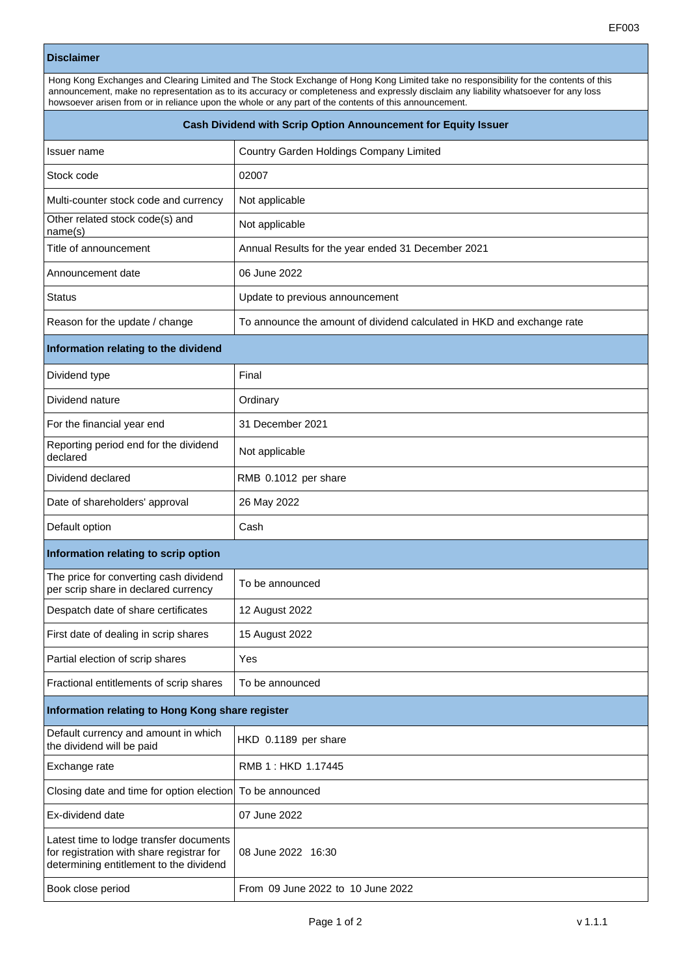## **Disclaimer**

| Hong Kong Exchanges and Clearing Limited and The Stock Exchange of Hong Kong Limited take no responsibility for the contents of this |
|--------------------------------------------------------------------------------------------------------------------------------------|
| announcement, make no representation as to its accuracy or completeness and expressly disclaim any liability whatsoever for any loss |
| howsoever arisen from or in reliance upon the whole or any part of the contents of this announcement.                                |

| Cash Dividend with Scrip Option Announcement for Equity Issuer                                                                  |                                                                        |  |
|---------------------------------------------------------------------------------------------------------------------------------|------------------------------------------------------------------------|--|
| Issuer name                                                                                                                     | Country Garden Holdings Company Limited                                |  |
| Stock code                                                                                                                      | 02007                                                                  |  |
| Multi-counter stock code and currency                                                                                           | Not applicable                                                         |  |
| Other related stock code(s) and<br>name(s)                                                                                      | Not applicable                                                         |  |
| Title of announcement                                                                                                           | Annual Results for the year ended 31 December 2021                     |  |
| Announcement date                                                                                                               | 06 June 2022                                                           |  |
| Status                                                                                                                          | Update to previous announcement                                        |  |
| Reason for the update / change                                                                                                  | To announce the amount of dividend calculated in HKD and exchange rate |  |
| Information relating to the dividend                                                                                            |                                                                        |  |
| Dividend type                                                                                                                   | Final                                                                  |  |
| Dividend nature                                                                                                                 | Ordinary                                                               |  |
| For the financial year end                                                                                                      | 31 December 2021                                                       |  |
| Reporting period end for the dividend<br>declared                                                                               | Not applicable                                                         |  |
| Dividend declared                                                                                                               | RMB 0.1012 per share                                                   |  |
| Date of shareholders' approval                                                                                                  | 26 May 2022                                                            |  |
| Default option                                                                                                                  | Cash                                                                   |  |
| Information relating to scrip option                                                                                            |                                                                        |  |
| The price for converting cash dividend<br>per scrip share in declared currency                                                  | To be announced                                                        |  |
| Despatch date of share certificates                                                                                             | 12 August 2022                                                         |  |
| First date of dealing in scrip shares                                                                                           | 15 August 2022                                                         |  |
| Partial election of scrip shares                                                                                                | Yes                                                                    |  |
| Fractional entitlements of scrip shares                                                                                         | To be announced                                                        |  |
| Information relating to Hong Kong share register                                                                                |                                                                        |  |
| Default currency and amount in which<br>the dividend will be paid                                                               | HKD 0.1189 per share                                                   |  |
| Exchange rate                                                                                                                   | RMB 1: HKD 1.17445                                                     |  |
| Closing date and time for option election                                                                                       | To be announced                                                        |  |
| Ex-dividend date                                                                                                                | 07 June 2022                                                           |  |
| Latest time to lodge transfer documents<br>for registration with share registrar for<br>determining entitlement to the dividend | 08 June 2022 16:30                                                     |  |
| Book close period                                                                                                               | From 09 June 2022 to 10 June 2022                                      |  |